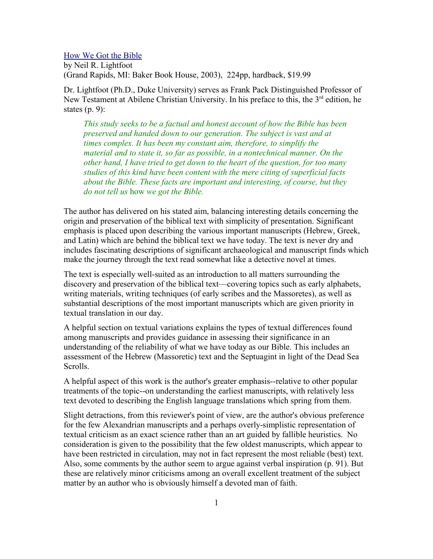## How We Got the Bible

by Neil R. Lightfoot (Grand Rapids, MI: Baker Book House, 2003), 224pp, hardback, \$19.99

Dr. Lightfoot (Ph.D., Duke University) serves as Frank Pack Distinguished Professor of New Testament at Abilene Christian University. In his preface to this, the 3<sup>rd</sup> edition, he states (p. 9):

*This study seeks to be a factual and honest account of how the Bible has been preserved and handed down to our generation. The subject is vast and at times complex. It has been my constant aim, therefore, to simplify the material and to state it, so far as possible, in a nontechnical manner. On the other hand, I have tried to get down to the heart of the question, for too many studies of this kind have been content with the mere citing of superficial facts about the Bible. These facts are important and interesting, of course, but they do not tell us* how *we got the Bible.*

The author has delivered on his stated aim, balancing interesting details concerning the origin and preservation of the biblical text with simplicity of presentation. Significant emphasis is placed upon describing the various important manuscripts (Hebrew, Greek, and Latin) which are behind the biblical text we have today. The text is never dry and includes fascinating descriptions of significant archaeological and manuscript finds which make the journey through the text read somewhat like a detective novel at times.

The text is especially well-suited as an introduction to all matters surrounding the discovery and preservation of the biblical text—covering topics such as early alphabets, writing materials, writing techniques (of early scribes and the Massoretes), as well as substantial descriptions of the most important manuscripts which are given priority in textual translation in our day.

A helpful section on textual variations explains the types of textual differences found among manuscripts and provides guidance in assessing their significance in an understanding of the reliability of what we have today as our Bible. This includes an assessment of the Hebrew (Massoretic) text and the Septuagint in light of the Dead Sea Scrolls.

A helpful aspect of this work is the author's greater emphasis--relative to other popular treatments of the topic--on understanding the earliest manuscripts, with relatively less text devoted to describing the English language translations which spring from them.

Slight detractions, from this reviewer's point of view, are the author's obvious preference for the few Alexandrian manuscripts and a perhaps overly-simplistic representation of textual criticism as an exact science rather than an art guided by fallible heuristics. No consideration is given to the possibility that the few oldest manuscripts, which appear to have been restricted in circulation, may not in fact represent the most reliable (best) text. Also, some comments by the author seem to argue against verbal inspiration (p. 91). But these are relatively minor criticisms among an overall excellent treatment of the subject matter by an author who is obviously himself a devoted man of faith.